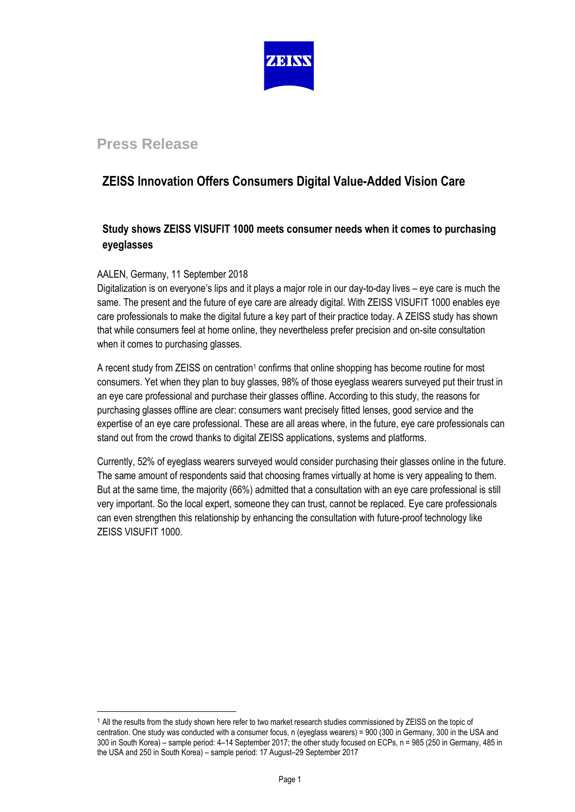

# **Press Release**

# **ZEISS Innovation Offers Consumers Digital Value-Added Vision Care**

## **Study shows ZEISS VISUFIT 1000 meets consumer needs when it comes to purchasing eyeglasses**

### AALEN, Germany, 11 September 2018

l

Digitalization is on everyone's lips and it plays a major role in our day-to-day lives – eye care is much the same. The present and the future of eye care are already digital. With ZEISS VISUFIT 1000 enables eye care professionals to make the digital future a key part of their practice today. A ZEISS study has shown that while consumers feel at home online, they nevertheless prefer precision and on-site consultation when it comes to purchasing glasses.

A recent study from ZEISS on centration<sup>1</sup> confirms that online shopping has become routine for most consumers. Yet when they plan to buy glasses, 98% of those eyeglass wearers surveyed put their trust in an eye care professional and purchase their glasses offline. According to this study, the reasons for purchasing glasses offline are clear: consumers want precisely fitted lenses, good service and the expertise of an eye care professional. These are all areas where, in the future, eye care professionals can stand out from the crowd thanks to digital ZEISS applications, systems and platforms.

Currently, 52% of eyeglass wearers surveyed would consider purchasing their glasses online in the future. The same amount of respondents said that choosing frames virtually at home is very appealing to them. But at the same time, the majority (66%) admitted that a consultation with an eye care professional is still very important. So the local expert, someone they can trust, cannot be replaced. Eye care professionals can even strengthen this relationship by enhancing the consultation with future-proof technology like ZEISS VISUFIT 1000.

<sup>1</sup> All the results from the study shown here refer to two market research studies commissioned by ZEISS on the topic of centration. One study was conducted with a consumer focus, n (eyeglass wearers) = 900 (300 in Germany, 300 in the USA and 300 in South Korea) – sample period: 4–14 September 2017; the other study focused on ECPs, n = 985 (250 in Germany, 485 in the USA and 250 in South Korea) – sample period: 17 August–29 September 2017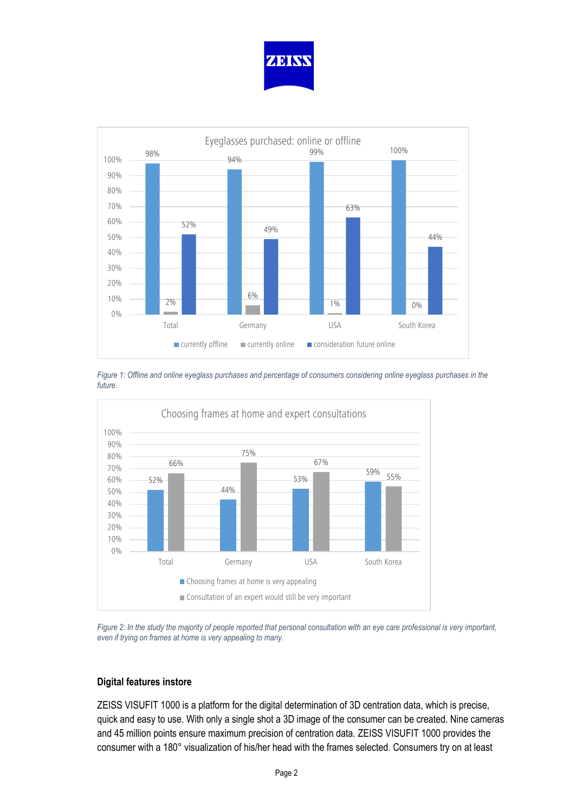



*Figure 1: Offline and online eyeglass purchases and percentage of consumers considering online eyeglass purchases in the future.*



*Figure 2: In the study the majority of people reported that personal consultation with an eye care professional is very important, even if trying on frames at home is very appealing to many.*

#### **Digital features instore**

ZEISS VISUFIT 1000 is a platform for the digital determination of 3D centration data, which is precise, quick and easy to use. With only a single shot a 3D image of the consumer can be created. Nine cameras and 45 million points ensure maximum precision of centration data. ZEISS VISUFIT 1000 provides the consumer with a 180° visualization of his/her head with the frames selected. Consumers try on at least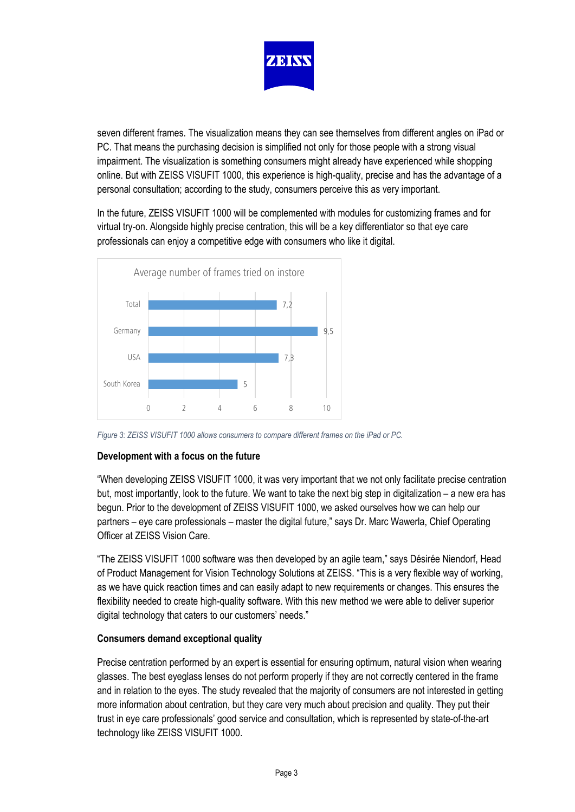

seven different frames. The visualization means they can see themselves from different angles on iPad or PC. That means the purchasing decision is simplified not only for those people with a strong visual impairment. The visualization is something consumers might already have experienced while shopping online. But with ZEISS VISUFIT 1000, this experience is high-quality, precise and has the advantage of a personal consultation; according to the study, consumers perceive this as very important.

In the future, ZEISS VISUFIT 1000 will be complemented with modules for customizing frames and for virtual try-on. Alongside highly precise centration, this will be a key differentiator so that eye care professionals can enjoy a competitive edge with consumers who like it digital.



*Figure 3: ZEISS VISUFIT 1000 allows consumers to compare different frames on the iPad or PC.* 

### **Development with a focus on the future**

"When developing ZEISS VISUFIT 1000, it was very important that we not only facilitate precise centration but, most importantly, look to the future. We want to take the next big step in digitalization – a new era has begun. Prior to the development of ZEISS VISUFIT 1000, we asked ourselves how we can help our partners – eye care professionals – master the digital future," says Dr. Marc Wawerla, Chief Operating Officer at ZEISS Vision Care.

"The ZEISS VISUFIT 1000 software was then developed by an agile team," says Désirée Niendorf, Head of Product Management for Vision Technology Solutions at ZEISS. "This is a very flexible way of working, as we have quick reaction times and can easily adapt to new requirements or changes. This ensures the flexibility needed to create high-quality software. With this new method we were able to deliver superior digital technology that caters to our customers' needs."

### **Consumers demand exceptional quality**

Precise centration performed by an expert is essential for ensuring optimum, natural vision when wearing glasses. The best eyeglass lenses do not perform properly if they are not correctly centered in the frame and in relation to the eyes. The study revealed that the majority of consumers are not interested in getting more information about centration, but they care very much about precision and quality. They put their trust in eye care professionals' good service and consultation, which is represented by state-of-the-art technology like ZEISS VISUFIT 1000.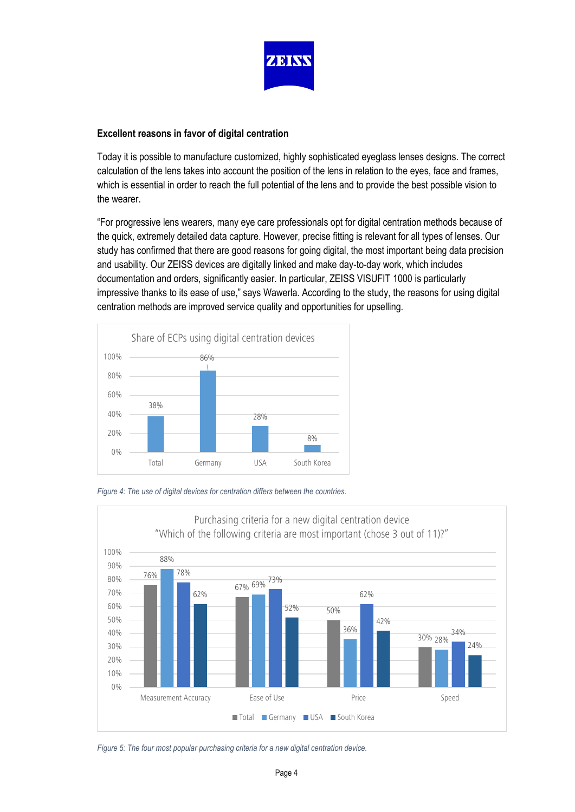

### **Excellent reasons in favor of digital centration**

Today it is possible to manufacture customized, highly sophisticated eyeglass lenses designs. The correct calculation of the lens takes into account the position of the lens in relation to the eyes, face and frames, which is essential in order to reach the full potential of the lens and to provide the best possible vision to the wearer.

"For progressive lens wearers, many eye care professionals opt for digital centration methods because of the quick, extremely detailed data capture. However, precise fitting is relevant for all types of lenses. Our study has confirmed that there are good reasons for going digital, the most important being data precision and usability. Our ZEISS devices are digitally linked and make day-to-day work, which includes documentation and orders, significantly easier. In particular, ZEISS VISUFIT 1000 is particularly impressive thanks to its ease of use," says Wawerla. According to the study, the reasons for using digital centration methods are improved service quality and opportunities for upselling.



*Figure 4: The use of digital devices for centration differs between the countries.*



*Figure 5: The four most popular purchasing criteria for a new digital centration device.*